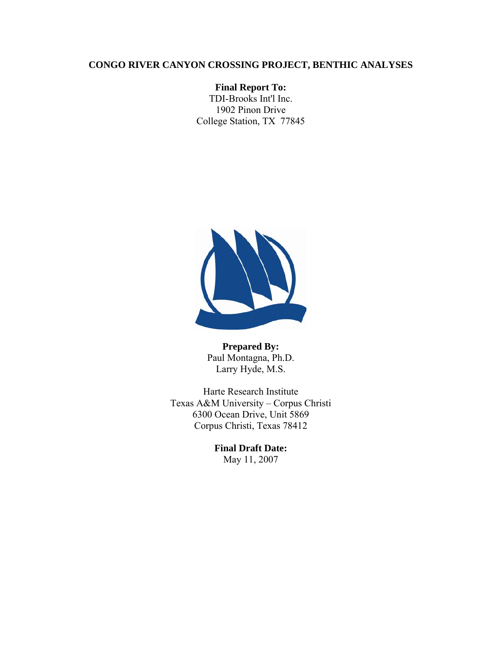# **CONGO RIVER CANYON CROSSING PROJECT, BENTHIC ANALYSES**

**Final Report To:**  TDI-Brooks Int'l Inc. 1902 Pinon Drive College Station, TX 77845



**Prepared By:**  Paul Montagna, Ph.D. Larry Hyde, M.S.

Harte Research Institute Texas A&M University – Corpus Christi 6300 Ocean Drive, Unit 5869 Corpus Christi, Texas 78412

> **Final Draft Date:**  May 11, 2007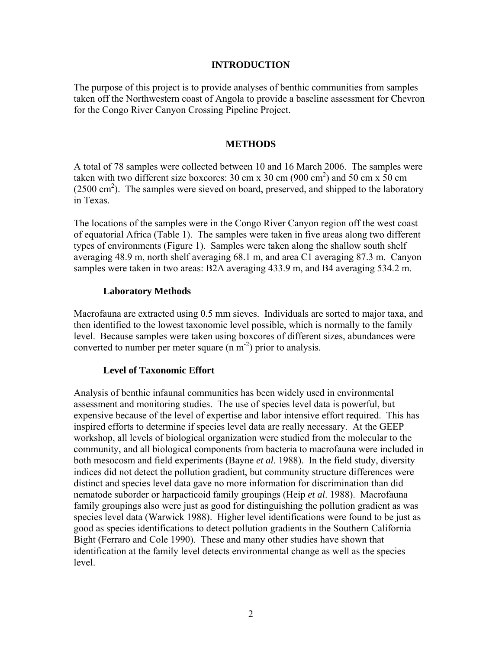## **INTRODUCTION**

The purpose of this project is to provide analyses of benthic communities from samples taken off the Northwestern coast of Angola to provide a baseline assessment for Chevron for the Congo River Canyon Crossing Pipeline Project.

## **METHODS**

A total of 78 samples were collected between 10 and 16 March 2006. The samples were taken with two different size boxcores: 30 cm x 30 cm  $(900 \text{ cm}^2)$  and 50 cm x 50 cm  $(2500 \text{ cm}^2)$ . The samples were sieved on board, preserved, and shipped to the laboratory in Texas.

The locations of the samples were in the Congo River Canyon region off the west coast of equatorial Africa (Table 1). The samples were taken in five areas along two different types of environments (Figure 1). Samples were taken along the shallow south shelf averaging 48.9 m, north shelf averaging 68.1 m, and area C1 averaging 87.3 m. Canyon samples were taken in two areas: B2A averaging 433.9 m, and B4 averaging 534.2 m.

## **Laboratory Methods**

Macrofauna are extracted using 0.5 mm sieves. Individuals are sorted to major taxa, and then identified to the lowest taxonomic level possible, which is normally to the family level. Because samples were taken using boxcores of different sizes, abundances were converted to number per meter square  $(n m<sup>-2</sup>)$  prior to analysis.

### **Level of Taxonomic Effort**

Analysis of benthic infaunal communities has been widely used in environmental assessment and monitoring studies. The use of species level data is powerful, but expensive because of the level of expertise and labor intensive effort required. This has inspired efforts to determine if species level data are really necessary. At the GEEP workshop, all levels of biological organization were studied from the molecular to the community, and all biological components from bacteria to macrofauna were included in both mesocosm and field experiments (Bayne *et al*. 1988). In the field study, diversity indices did not detect the pollution gradient, but community structure differences were distinct and species level data gave no more information for discrimination than did nematode suborder or harpacticoid family groupings (Heip *et al*. 1988). Macrofauna family groupings also were just as good for distinguishing the pollution gradient as was species level data (Warwick 1988). Higher level identifications were found to be just as good as species identifications to detect pollution gradients in the Southern California Bight (Ferraro and Cole 1990). These and many other studies have shown that identification at the family level detects environmental change as well as the species level.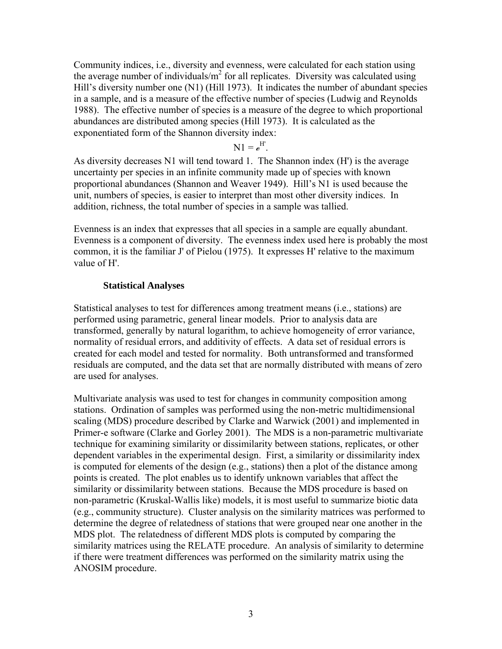Community indices, i.e., diversity and evenness, were calculated for each station using the average number of individuals/ $m^2$  for all replicates. Diversity was calculated using Hill's diversity number one (N1) (Hill 1973). It indicates the number of abundant species in a sample, and is a measure of the effective number of species (Ludwig and Reynolds 1988). The effective number of species is a measure of the degree to which proportional abundances are distributed among species (Hill 1973). It is calculated as the exponentiated form of the Shannon diversity index:

 $N1 = e^{H'}$ .

As diversity decreases N1 will tend toward 1. The Shannon index (H') is the average uncertainty per species in an infinite community made up of species with known proportional abundances (Shannon and Weaver 1949). Hill's N1 is used because the unit, numbers of species, is easier to interpret than most other diversity indices. In addition, richness, the total number of species in a sample was tallied.

Evenness is an index that expresses that all species in a sample are equally abundant. Evenness is a component of diversity. The evenness index used here is probably the most common, it is the familiar J' of Pielou (1975). It expresses H' relative to the maximum value of H'.

## **Statistical Analyses**

Statistical analyses to test for differences among treatment means (i.e., stations) are performed using parametric, general linear models. Prior to analysis data are transformed, generally by natural logarithm, to achieve homogeneity of error variance, normality of residual errors, and additivity of effects. A data set of residual errors is created for each model and tested for normality. Both untransformed and transformed residuals are computed, and the data set that are normally distributed with means of zero are used for analyses.

Multivariate analysis was used to test for changes in community composition among stations. Ordination of samples was performed using the non-metric multidimensional scaling (MDS) procedure described by Clarke and Warwick (2001) and implemented in Primer-e software (Clarke and Gorley 2001). The MDS is a non-parametric multivariate technique for examining similarity or dissimilarity between stations, replicates, or other dependent variables in the experimental design. First, a similarity or dissimilarity index is computed for elements of the design (e.g., stations) then a plot of the distance among points is created. The plot enables us to identify unknown variables that affect the similarity or dissimilarity between stations. Because the MDS procedure is based on non-parametric (Kruskal-Wallis like) models, it is most useful to summarize biotic data (e.g., community structure). Cluster analysis on the similarity matrices was performed to determine the degree of relatedness of stations that were grouped near one another in the MDS plot. The relatedness of different MDS plots is computed by comparing the similarity matrices using the RELATE procedure. An analysis of similarity to determine if there were treatment differences was performed on the similarity matrix using the ANOSIM procedure.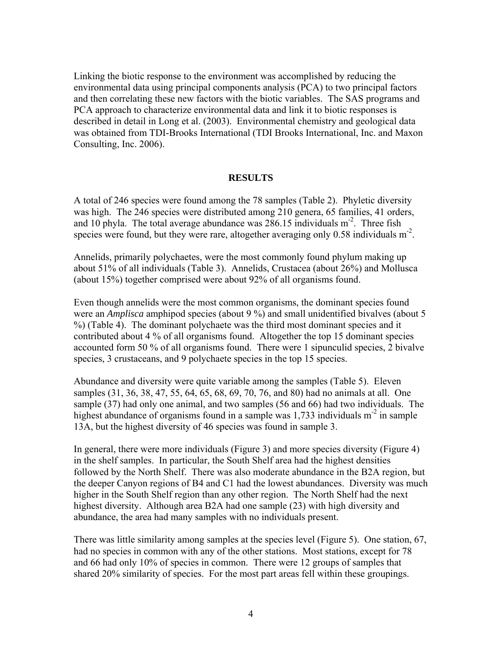Linking the biotic response to the environment was accomplished by reducing the environmental data using principal components analysis (PCA) to two principal factors and then correlating these new factors with the biotic variables. The SAS programs and PCA approach to characterize environmental data and link it to biotic responses is described in detail in Long et al. (2003). Environmental chemistry and geological data was obtained from TDI-Brooks International (TDI Brooks International, Inc. and Maxon Consulting, Inc. 2006).

### **RESULTS**

A total of 246 species were found among the 78 samples (Table 2). Phyletic diversity was high. The 246 species were distributed among 210 genera, 65 families, 41 orders, and 10 phyla. The total average abundance was  $286.15$  individuals m<sup>-2</sup>. Three fish species were found, but they were rare, altogether averaging only  $0.58$  individuals  $m<sup>2</sup>$ .

Annelids, primarily polychaetes, were the most commonly found phylum making up about 51% of all individuals (Table 3). Annelids, Crustacea (about 26%) and Mollusca (about 15%) together comprised were about 92% of all organisms found.

Even though annelids were the most common organisms, the dominant species found were an *Amplisca* amphipod species (about 9 %) and small unidentified bivalves (about 5 %) (Table 4). The dominant polychaete was the third most dominant species and it contributed about 4 % of all organisms found. Altogether the top 15 dominant species accounted form 50 % of all organisms found. There were 1 sipunculid species, 2 bivalve species, 3 crustaceans, and 9 polychaete species in the top 15 species.

Abundance and diversity were quite variable among the samples (Table 5). Eleven samples (31, 36, 38, 47, 55, 64, 65, 68, 69, 70, 76, and 80) had no animals at all. One sample (37) had only one animal, and two samples (56 and 66) had two individuals. The highest abundance of organisms found in a sample was  $1,733$  individuals m<sup>-2</sup> in sample 13A, but the highest diversity of 46 species was found in sample 3.

In general, there were more individuals (Figure 3) and more species diversity (Figure 4) in the shelf samples. In particular, the South Shelf area had the highest densities followed by the North Shelf. There was also moderate abundance in the B2A region, but the deeper Canyon regions of B4 and C1 had the lowest abundances. Diversity was much higher in the South Shelf region than any other region. The North Shelf had the next highest diversity. Although area B2A had one sample (23) with high diversity and abundance, the area had many samples with no individuals present.

There was little similarity among samples at the species level (Figure 5). One station, 67, had no species in common with any of the other stations. Most stations, except for 78 and 66 had only 10% of species in common. There were 12 groups of samples that shared 20% similarity of species. For the most part areas fell within these groupings.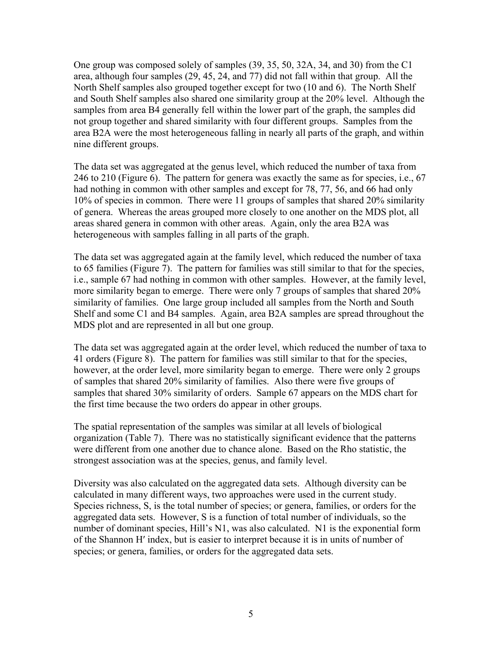One group was composed solely of samples (39, 35, 50, 32A, 34, and 30) from the C1 area, although four samples (29, 45, 24, and 77) did not fall within that group. All the North Shelf samples also grouped together except for two (10 and 6). The North Shelf and South Shelf samples also shared one similarity group at the 20% level. Although the samples from area B4 generally fell within the lower part of the graph, the samples did not group together and shared similarity with four different groups. Samples from the area B2A were the most heterogeneous falling in nearly all parts of the graph, and within nine different groups.

The data set was aggregated at the genus level, which reduced the number of taxa from 246 to 210 (Figure 6). The pattern for genera was exactly the same as for species, i.e., 67 had nothing in common with other samples and except for 78, 77, 56, and 66 had only 10% of species in common. There were 11 groups of samples that shared 20% similarity of genera. Whereas the areas grouped more closely to one another on the MDS plot, all areas shared genera in common with other areas. Again, only the area B2A was heterogeneous with samples falling in all parts of the graph.

The data set was aggregated again at the family level, which reduced the number of taxa to 65 families (Figure 7). The pattern for families was still similar to that for the species, i.e., sample 67 had nothing in common with other samples. However, at the family level, more similarity began to emerge. There were only 7 groups of samples that shared 20% similarity of families. One large group included all samples from the North and South Shelf and some C1 and B4 samples. Again, area B2A samples are spread throughout the MDS plot and are represented in all but one group.

The data set was aggregated again at the order level, which reduced the number of taxa to 41 orders (Figure 8). The pattern for families was still similar to that for the species, however, at the order level, more similarity began to emerge. There were only 2 groups of samples that shared 20% similarity of families. Also there were five groups of samples that shared 30% similarity of orders. Sample 67 appears on the MDS chart for the first time because the two orders do appear in other groups.

The spatial representation of the samples was similar at all levels of biological organization (Table 7). There was no statistically significant evidence that the patterns were different from one another due to chance alone. Based on the Rho statistic, the strongest association was at the species, genus, and family level.

Diversity was also calculated on the aggregated data sets. Although diversity can be calculated in many different ways, two approaches were used in the current study. Species richness, S, is the total number of species; or genera, families, or orders for the aggregated data sets. However, S is a function of total number of individuals, so the number of dominant species, Hill's N1, was also calculated. N1 is the exponential form of the Shannon H′ index, but is easier to interpret because it is in units of number of species; or genera, families, or orders for the aggregated data sets.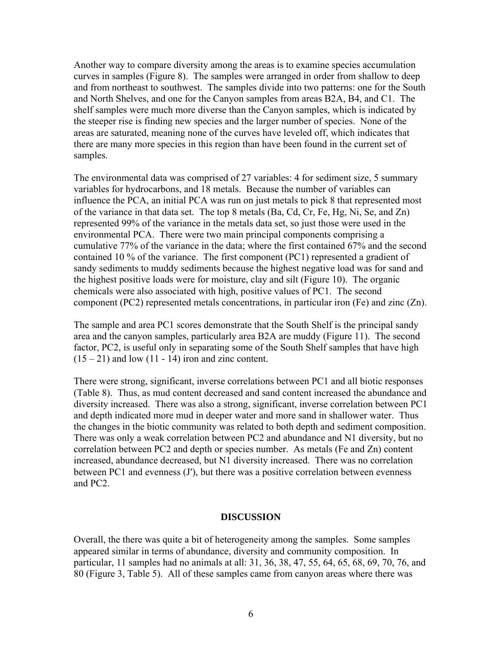Another way to compare diversity among the areas is to examine species accumulation curves in samples (Figure 8). The samples were arranged in order from shallow to deep and from northeast to southwest. The samples divide into two patterns: one for the South and North Shelves, and one for the Canyon samples from areas B2A, B4, and C1. The shelf samples were much more diverse than the Canyon samples, which is indicated by the steeper rise is finding new species and the larger number of species. None of the areas are saturated, meaning none of the curves have leveled off, which indicates that there are many more species in this region than have been found in the current set of samples.

The environmental data was comprised of 27 variables: 4 for sediment size, 5 summary variables for hydrocarbons, and 18 metals. Because the number of variables can influence the PCA, an initial PCA was run on just metals to pick 8 that represented most of the variance in that data set. The top 8 metals (Ba, Cd, Cr, Fe, Hg, Ni, Se, and Zn) represented 99% of the variance in the metals data set, so just those were used in the environmental PCA. There were two main principal components comprising a cumulative 77% of the variance in the data; where the first contained 67% and the second contained 10 % of the variance. The first component (PC1) represented a gradient of sandy sediments to muddy sediments because the highest negative load was for sand and the highest positive loads were for moisture, clay and silt (Figure 10). The organic chemicals were also associated with high, positive values of PC1. The second component (PC2) represented metals concentrations, in particular iron (Fe) and zinc (Zn).

The sample and area PC1 scores demonstrate that the South Shelf is the principal sandy area and the canyon samples, particularly area B2A are muddy (Figure 11). The second factor, PC2, is useful only in separating some of the South Shelf samples that have high  $(15 - 21)$  and low  $(11 - 14)$  iron and zinc content.

There were strong, significant, inverse correlations between PC1 and all biotic responses (Table 8). Thus, as mud content decreased and sand content increased the abundance and diversity increased. There was also a strong, significant, inverse correlation between PC1 and depth indicated more mud in deeper water and more sand in shallower water. Thus the changes in the biotic community was related to both depth and sediment composition. There was only a weak correlation between PC2 and abundance and N1 diversity, but no correlation between PC2 and depth or species number. As metals (Fe and Zn) content increased, abundance decreased, but N1 diversity increased. There was no correlation between PC1 and evenness (J′), but there was a positive correlation between evenness and PC2.

## **DISCUSSION**

Overall, the there was quite a bit of heterogeneity among the samples. Some samples appeared similar in terms of abundance, diversity and community composition. In particular, 11 samples had no animals at all: 31, 36, 38, 47, 55, 64, 65, 68, 69, 70, 76, and 80 (Figure 3, Table 5). All of these samples came from canyon areas where there was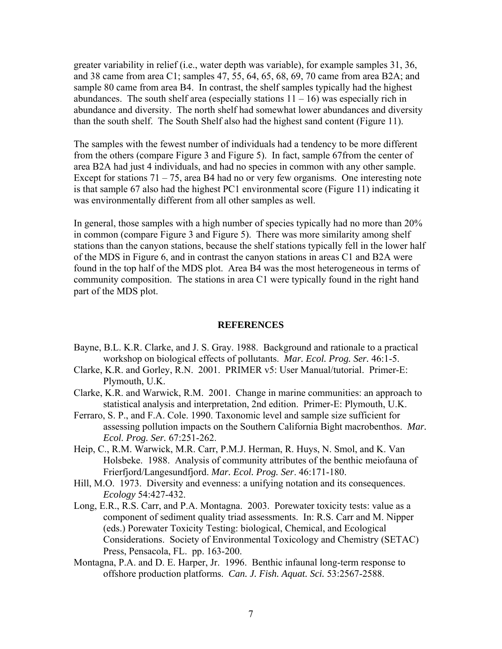greater variability in relief (i.e., water depth was variable), for example samples 31, 36, and 38 came from area C1; samples 47, 55, 64, 65, 68, 69, 70 came from area B2A; and sample 80 came from area B4. In contrast, the shelf samples typically had the highest abundances. The south shelf area (especially stations  $11 - 16$ ) was especially rich in abundance and diversity. The north shelf had somewhat lower abundances and diversity than the south shelf. The South Shelf also had the highest sand content (Figure 11).

The samples with the fewest number of individuals had a tendency to be more different from the others (compare Figure 3 and Figure 5). In fact, sample 67from the center of area B2A had just 4 individuals, and had no species in common with any other sample. Except for stations  $71 - 75$ , area B4 had no or very few organisms. One interesting note is that sample 67 also had the highest PC1 environmental score (Figure 11) indicating it was environmentally different from all other samples as well.

In general, those samples with a high number of species typically had no more than 20% in common (compare Figure 3 and Figure 5). There was more similarity among shelf stations than the canyon stations, because the shelf stations typically fell in the lower half of the MDS in Figure 6, and in contrast the canyon stations in areas C1 and B2A were found in the top half of the MDS plot. Area B4 was the most heterogeneous in terms of community composition. The stations in area C1 were typically found in the right hand part of the MDS plot.

#### **REFERENCES**

- Bayne, B.L. K.R. Clarke, and J. S. Gray. 1988. Background and rationale to a practical workshop on biological effects of pollutants. *Mar. Ecol. Prog. Ser.* 46:1-5.
- Clarke, K.R. and Gorley, R.N. 2001. PRIMER v5: User Manual/tutorial. Primer-E: Plymouth, U.K.
- Clarke, K.R. and Warwick, R.M. 2001. Change in marine communities: an approach to statistical analysis and interpretation, 2nd edition. Primer-E: Plymouth, U.K.
- Ferraro, S. P., and F.A. Cole. 1990. Taxonomic level and sample size sufficient for assessing pollution impacts on the Southern California Bight macrobenthos. *Mar. Ecol. Prog. Ser.* 67:251-262.
- Heip, C., R.M. Warwick, M.R. Carr, P.M.J. Herman, R. Huys, N. Smol, and K. Van Holsbeke. 1988. Analysis of community attributes of the benthic meiofauna of Frierfjord/Langesundfjord. *Mar. Ecol. Prog. Ser*. 46:171-180.
- Hill, M.O. 1973. Diversity and evenness: a unifying notation and its consequences. *Ecology* 54:427-432.
- Long, E.R., R.S. Carr, and P.A. Montagna. 2003. Porewater toxicity tests: value as a component of sediment quality triad assessments. In: R.S. Carr and M. Nipper (eds.) Porewater Toxicity Testing: biological, Chemical, and Ecological Considerations. Society of Environmental Toxicology and Chemistry (SETAC) Press, Pensacola, FL. pp. 163-200.
- Montagna, P.A. and D. E. Harper, Jr. 1996. Benthic infaunal long-term response to offshore production platforms. *Can. J. Fish. Aquat. Sci.* 53:2567-2588.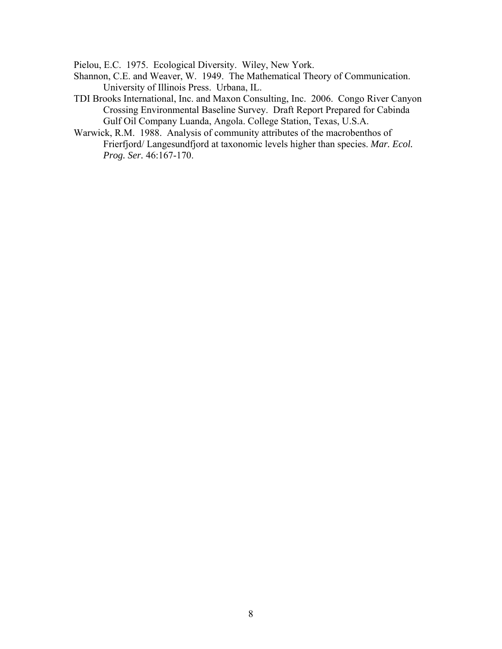Pielou, E.C. 1975. Ecological Diversity. Wiley, New York.

- Shannon, C.E. and Weaver, W. 1949. The Mathematical Theory of Communication. University of Illinois Press. Urbana, IL.
- TDI Brooks International, Inc. and Maxon Consulting, Inc. 2006. Congo River Canyon Crossing Environmental Baseline Survey. Draft Report Prepared for Cabinda Gulf Oil Company Luanda, Angola. College Station, Texas, U.S.A.
- Warwick, R.M. 1988. Analysis of community attributes of the macrobenthos of Frierfjord/ Langesundfjord at taxonomic levels higher than species. *Mar. Ecol. Prog. Ser.* 46:167-170.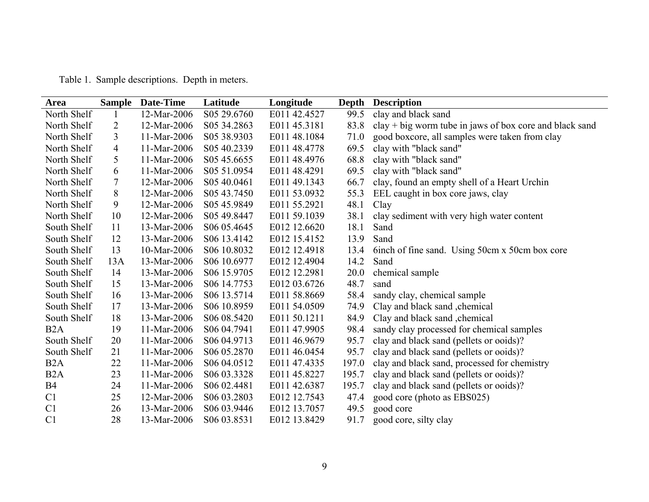| Table 1. Sample descriptions. Depth in meters. |  |
|------------------------------------------------|--|

| Area             | <b>Sample</b> | Date-Time   | Latitude                             | Longitude    | Depth | <b>Description</b>                                        |
|------------------|---------------|-------------|--------------------------------------|--------------|-------|-----------------------------------------------------------|
| North Shelf      |               | 12-Mar-2006 | S05 29.6760                          | E011 42.4527 | 99.5  | clay and black sand                                       |
| North Shelf      | 2             | 12-Mar-2006 | S05 34.2863                          | E011 45.3181 | 83.8  | $clay + big$ worm tube in jaws of box core and black sand |
| North Shelf      | 3             | 11-Mar-2006 | S05 38.9303                          | E011 48.1084 | 71.0  | good boxcore, all samples were taken from clay            |
| North Shelf      | 4             | 11-Mar-2006 | S05 40.2339                          | E011 48.4778 | 69.5  | clay with "black sand"                                    |
| North Shelf      | 5             | 11-Mar-2006 | S <sub>05</sub> 45.6655              | E011 48.4976 | 68.8  | clay with "black sand"                                    |
| North Shelf      | 6             | 11-Mar-2006 | S <sub>05</sub> 51.0954              | E011 48.4291 | 69.5  | clay with "black sand"                                    |
| North Shelf      | 7             | 12-Mar-2006 | S <sub>0</sub> 5 4 <sub>0.0461</sub> | E011 49.1343 | 66.7  | clay, found an empty shell of a Heart Urchin              |
| North Shelf      | 8             | 12-Mar-2006 | S <sub>05</sub> 43.7450              | E011 53.0932 | 55.3  | EEL caught in box core jaws, clay                         |
| North Shelf      | 9             | 12-Mar-2006 | S05 45.9849                          | E011 55.2921 | 48.1  | Clay                                                      |
| North Shelf      | 10            | 12-Mar-2006 | S05 49.8447                          | E011 59.1039 | 38.1  | clay sediment with very high water content                |
| South Shelf      | 11            | 13-Mar-2006 | S06 05.4645                          | E012 12.6620 | 18.1  | Sand                                                      |
| South Shelf      | 12            | 13-Mar-2006 | S06 13.4142                          | E012 15.4152 | 13.9  | Sand                                                      |
| South Shelf      | 13            | 10-Mar-2006 | S <sub>06</sub> 10.8032              | E012 12.4918 | 13.4  | binch of fine sand. Using 50cm x 50cm box core            |
| South Shelf      | 13A           | 13-Mar-2006 | S06 10.6977                          | E012 12.4904 | 14.2  | Sand                                                      |
| South Shelf      | 14            | 13-Mar-2006 | S <sub>06</sub> 15.9705              | E012 12.2981 | 20.0  | chemical sample                                           |
| South Shelf      | 15            | 13-Mar-2006 | S <sub>06</sub> 14.7753              | E012 03.6726 | 48.7  | sand                                                      |
| South Shelf      | 16            | 13-Mar-2006 | S <sub>06</sub> 13.5714              | E011 58.8669 | 58.4  | sandy clay, chemical sample                               |
| South Shelf      | 17            | 13-Mar-2006 | S <sub>06</sub> 10.8959              | E011 54.0509 | 74.9  | Clay and black sand , chemical                            |
| South Shelf      | 18            | 13-Mar-2006 | S06 08.5420                          | E011 50.1211 | 84.9  | Clay and black sand , chemical                            |
| B <sub>2</sub> A | 19            | 11-Mar-2006 | S06 04.7941                          | E011 47.9905 | 98.4  | sandy clay processed for chemical samples                 |
| South Shelf      | 20            | 11-Mar-2006 | S <sub>06</sub> 04.9713              | E011 46.9679 | 95.7  | clay and black sand (pellets or ooids)?                   |
| South Shelf      | 21            | 11-Mar-2006 | S <sub>06</sub> 05.2870              | E011 46.0454 | 95.7  | clay and black sand (pellets or ooids)?                   |
| B <sub>2</sub> A | 22            | 11-Mar-2006 | S <sub>06</sub> 04.0512              | E011 47.4335 | 197.0 | clay and black sand, processed for chemistry              |
| B <sub>2</sub> A | 23            | 11-Mar-2006 | S <sub>06</sub> 03.3328              | E011 45.8227 | 195.7 | clay and black sand (pellets or ooids)?                   |
| <b>B4</b>        | 24            | 11-Mar-2006 | S06 02.4481                          | E011 42.6387 | 195.7 | clay and black sand (pellets or ooids)?                   |
| C <sub>1</sub>   | 25            | 12-Mar-2006 | S06 03.2803                          | E012 12.7543 | 47.4  | good core (photo as EBS025)                               |
| C <sub>1</sub>   | 26            | 13-Mar-2006 | S06 03.9446                          | E012 13.7057 | 49.5  | good core                                                 |
| C <sub>1</sub>   | 28            | 13-Mar-2006 | S06 03.8531                          | E012 13.8429 | 91.7  | good core, silty clay                                     |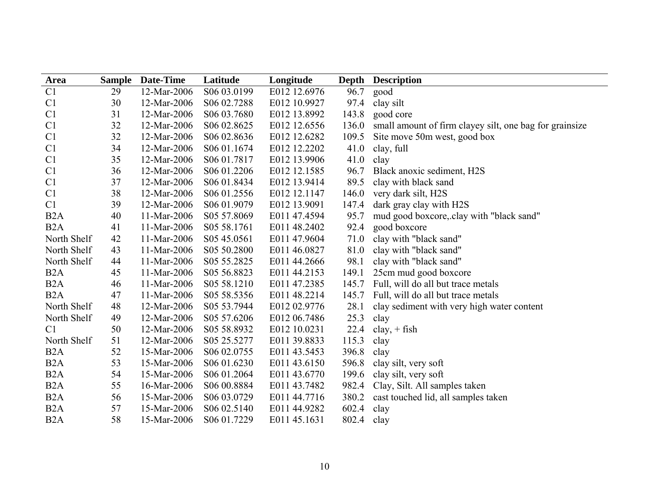| <b>Area</b>      |    | <b>Sample Date-Time</b> | Latitude                 | Longitude    | Depth | <b>Description</b>                                      |
|------------------|----|-------------------------|--------------------------|--------------|-------|---------------------------------------------------------|
| C1               | 29 | 12-Mar-2006             | S06 03.0199              | E012 12.6976 | 96.7  | good                                                    |
| C <sub>1</sub>   | 30 | 12-Mar-2006             | S06 02.7288              | E012 10.9927 | 97.4  | clay silt                                               |
| C <sub>1</sub>   | 31 | 12-Mar-2006             | S <sub>06</sub> 03.7680  | E012 13.8992 | 143.8 | good core                                               |
| C <sub>1</sub>   | 32 | 12-Mar-2006             | S06 02.8625              | E012 12.6556 | 136.0 | small amount of firm clayey silt, one bag for grainsize |
| C <sub>1</sub>   | 32 | 12-Mar-2006             | S <sub>0</sub> 6 02.8636 | E012 12.6282 | 109.5 | Site move 50m west, good box                            |
| C <sub>1</sub>   | 34 | 12-Mar-2006             | S <sub>06</sub> 01.1674  | E012 12.2202 | 41.0  | clay, full                                              |
| C1               | 35 | 12-Mar-2006             | S06 01.7817              | E012 13.9906 | 41.0  | clay                                                    |
| C1               | 36 | 12-Mar-2006             | S <sub>06</sub> 01.2206  | E012 12.1585 | 96.7  | Black anoxic sediment, H2S                              |
| C1               | 37 | 12-Mar-2006             | S <sub>06</sub> 01.8434  | E012 13.9414 | 89.5  | clay with black sand                                    |
| C1               | 38 | 12-Mar-2006             | S06 01.2556              | E012 12.1147 | 146.0 | very dark silt, H2S                                     |
| C1               | 39 | 12-Mar-2006             | S <sub>06</sub> 01.9079  | E012 13.9091 | 147.4 | dark gray clay with H2S                                 |
| B <sub>2</sub> A | 40 | 11-Mar-2006             | S <sub>05</sub> 57.8069  | E011 47.4594 | 95.7  | mud good boxcore, clay with "black sand"                |
| B <sub>2</sub> A | 41 | 11-Mar-2006             | S05 58.1761              | E011 48.2402 | 92.4  | good boxcore                                            |
| North Shelf      | 42 | 11-Mar-2006             | S05 45.0561              | E011 47.9604 | 71.0  | clay with "black sand"                                  |
| North Shelf      | 43 | 11-Mar-2006             | S05 50.2800              | E011 46.0827 | 81.0  | clay with "black sand"                                  |
| North Shelf      | 44 | 11-Mar-2006             | S05 55.2825              | E011 44.2666 | 98.1  | clay with "black sand"                                  |
| B <sub>2</sub> A | 45 | 11-Mar-2006             | S05 56.8823              | E011 44.2153 | 149.1 | 25cm mud good boxcore                                   |
| B <sub>2</sub> A | 46 | 11-Mar-2006             | S05 58.1210              | E011 47.2385 | 145.7 | Full, will do all but trace metals                      |
| B <sub>2</sub> A | 47 | 11-Mar-2006             | S05 58.5356              | E011 48.2214 | 145.7 | Full, will do all but trace metals                      |
| North Shelf      | 48 | 12-Mar-2006             | S05 53.7944              | E012 02.9776 | 28.1  | clay sediment with very high water content              |
| North Shelf      | 49 | 12-Mar-2006             | S <sub>05</sub> 57.6206  | E012 06.7486 | 25.3  | clay                                                    |
| C <sub>1</sub>   | 50 | 12-Mar-2006             | S05 58.8932              | E012 10.0231 | 22.4  | $clay, + fish$                                          |
| North Shelf      | 51 | 12-Mar-2006             | S05 25.5277              | E011 39.8833 | 115.3 | clay                                                    |
| B <sub>2</sub> A | 52 | 15-Mar-2006             | S <sub>06</sub> 02.0755  | E011 43.5453 | 396.8 | clay                                                    |
| B <sub>2</sub> A | 53 | 15-Mar-2006             | S <sub>0</sub> 6 01.6230 | E011 43.6150 | 596.8 | clay silt, very soft                                    |
| B <sub>2</sub> A | 54 | 15-Mar-2006             | S <sub>06</sub> 01.2064  | E011 43.6770 | 199.6 | clay silt, very soft                                    |
| B <sub>2</sub> A | 55 | 16-Mar-2006             | S <sub>06</sub> 00.8884  | E011 43.7482 | 982.4 | Clay, Silt. All samples taken                           |
| B <sub>2</sub> A | 56 | 15-Mar-2006             | S06 03.0729              | E011 44.7716 | 380.2 | cast touched lid, all samples taken                     |
| B <sub>2</sub> A | 57 | 15-Mar-2006             | S <sub>0</sub> 6 02.5140 | E011 44.9282 | 602.4 | clay                                                    |
| B <sub>2</sub> A | 58 | 15-Mar-2006             | S <sub>06</sub> 01.7229  | E011 45.1631 | 802.4 | clay                                                    |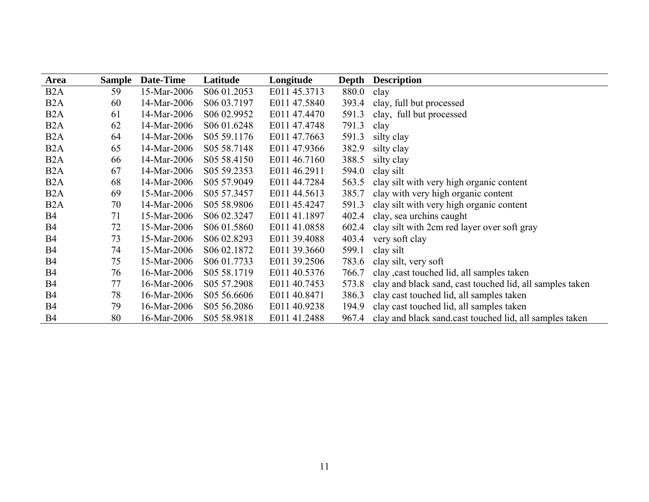| Area             | <b>Sample</b> | Date-Time   | Latitude                 | Longitude    | Depth | <b>Description</b>                                       |
|------------------|---------------|-------------|--------------------------|--------------|-------|----------------------------------------------------------|
| B <sub>2</sub> A | 59            | 15-Mar-2006 | S <sub>0</sub> 6 01.2053 | E011 45.3713 | 880.0 | clay                                                     |
| B <sub>2</sub> A | 60            | 14-Mar-2006 | S <sub>06</sub> 03.7197  | E011 47.5840 | 393.4 | clay, full but processed                                 |
| B <sub>2</sub> A | 61            | 14-Mar-2006 | S <sub>0</sub> 6 02.9952 | E011 47.4470 | 591.3 | clay, full but processed                                 |
| B <sub>2</sub> A | 62            | 14-Mar-2006 | S <sub>06</sub> 01.6248  | E011 47.4748 | 791.3 | clay                                                     |
| B <sub>2</sub> A | 64            | 14-Mar-2006 | S <sub>05</sub> 59.1176  | E011 47.7663 | 591.3 | silty clay                                               |
| B <sub>2</sub> A | 65            | 14-Mar-2006 | S <sub>05</sub> 58.7148  | E011 47.9366 | 382.9 | silty clay                                               |
| B <sub>2</sub> A | 66            | 14-Mar-2006 | S <sub>05</sub> 58.4150  | E011 46.7160 | 388.5 | silty clay                                               |
| B <sub>2</sub> A | 67            | 14-Mar-2006 | S <sub>05</sub> 59.2353  | E011 46.2911 | 594.0 | clay silt                                                |
| B <sub>2</sub> A | 68            | 14-Mar-2006 | S05 57.9049              | E011 44.7284 | 563.5 | clay silt with very high organic content                 |
| B <sub>2</sub> A | 69            | 15-Mar-2006 | S05 57.3457              | E011 44.5613 | 385.7 | clay with very high organic content                      |
| B <sub>2</sub> A | 70            | 14-Mar-2006 | S05 58.9806              | E011 45.4247 | 591.3 | clay silt with very high organic content                 |
| B4               | 71            | 15-Mar-2006 | S06 02.3247              | E011 41.1897 | 402.4 | clay, sea urchins caught                                 |
| <b>B4</b>        | 72            | 15-Mar-2006 | S <sub>06</sub> 01.5860  | E011 41.0858 | 602.4 | clay silt with 2cm red layer over soft gray              |
| B4               | 73            | 15-Mar-2006 | S <sub>0</sub> 6 02.8293 | E011 39.4088 | 403.4 | very soft clay                                           |
| B4               | 74            | 15-Mar-2006 | S <sub>0</sub> 6 02.1872 | E011 39.3660 | 599.1 | clay silt                                                |
| B4               | 75            | 15-Mar-2006 | S <sub>06</sub> 01.7733  | E011 39.2506 | 783.6 | clay silt, very soft                                     |
| B4               | 76            | 16-Mar-2006 | S <sub>05</sub> 58.1719  | E011 40.5376 | 766.7 | clay cast touched lid, all samples taken                 |
| B4               | 77            | 16-Mar-2006 | S <sub>05</sub> 57.2908  | E011 40.7453 | 573.8 | clay and black sand, cast touched lid, all samples taken |
| B4               | 78            | 16-Mar-2006 | S <sub>05</sub> 56.6606  | E011 40.8471 | 386.3 | clay cast touched lid, all samples taken                 |
| <b>B4</b>        | 79            | 16-Mar-2006 | S <sub>05</sub> 56.2086  | E011 40.9238 | 194.9 | clay cast touched lid, all samples taken                 |
| <b>B4</b>        | 80            | 16-Mar-2006 | S <sub>05</sub> 58.9818  | E011 41.2488 | 967.4 | clay and black sand cast touched lid, all samples taken  |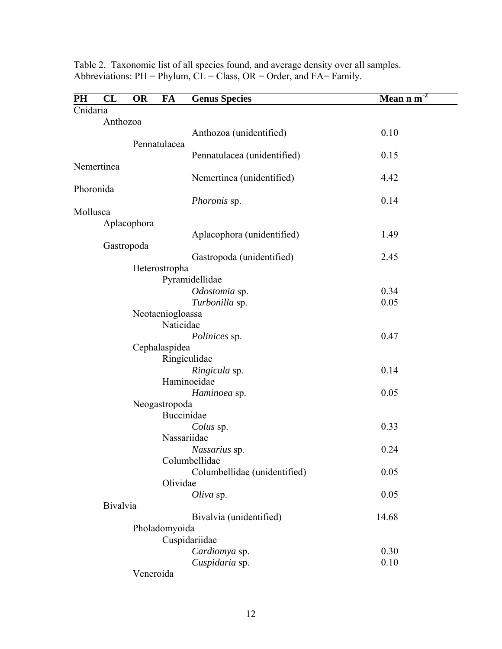| PH       | CL         | <b>OR</b>        | FA          | <b>Genus Species</b>         | -2<br>Mean n m |  |
|----------|------------|------------------|-------------|------------------------------|----------------|--|
| Cnidaria |            |                  |             |                              |                |  |
|          | Anthozoa   |                  |             |                              |                |  |
|          |            |                  |             | Anthozoa (unidentified)      | 0.10           |  |
|          |            | Pennatulacea     |             |                              |                |  |
|          | Nemertinea |                  |             | Pennatulacea (unidentified)  | 0.15           |  |
|          |            |                  |             | Nemertinea (unidentified)    | 4.42           |  |
|          | Phoronida  |                  |             |                              |                |  |
|          |            |                  |             | Phoronis sp.                 | 0.14           |  |
|          | Mollusca   |                  |             |                              |                |  |
|          |            | Aplacophora      |             |                              |                |  |
|          |            |                  |             | Aplacophora (unidentified)   | 1.49           |  |
|          | Gastropoda |                  |             |                              |                |  |
|          |            |                  |             | Gastropoda (unidentified)    | 2.45           |  |
|          |            | Heterostropha    |             |                              |                |  |
|          |            |                  |             | Pyramidellidae               |                |  |
|          |            |                  |             | Odostomia sp.                | 0.34           |  |
|          |            |                  |             | Turbonilla sp.               | 0.05           |  |
|          |            | Neotaeniogloassa |             |                              |                |  |
|          |            |                  | Naticidae   |                              | 0.47           |  |
|          |            | Cephalaspidea    |             | Polinices sp.                |                |  |
|          |            |                  |             | Ringiculidae                 |                |  |
|          |            |                  |             | Ringicula sp.                | 0.14           |  |
|          |            |                  |             | Haminoeidae                  |                |  |
|          |            |                  |             | Haminoea sp.                 | 0.05           |  |
|          |            | Neogastropoda    |             |                              |                |  |
|          |            |                  | Buccinidae  |                              |                |  |
|          |            |                  |             | Colus sp.                    | 0.33           |  |
|          |            |                  | Nassariidae |                              |                |  |
|          |            |                  |             | Nassarius sp.                | 0.24           |  |
|          |            |                  |             | Columbellidae                |                |  |
|          |            |                  |             | Columbellidae (unidentified) | 0.05           |  |
|          |            |                  | Olividae    |                              |                |  |
|          |            |                  |             | Oliva sp.                    | 0.05           |  |
|          | Bivalvia   |                  |             |                              |                |  |
|          |            |                  |             | Bivalvia (unidentified)      | 14.68          |  |
|          |            | Pholadomyoida    |             |                              |                |  |
|          |            |                  |             | Cuspidariidae                |                |  |
|          |            |                  |             | Cardiomya sp.                | 0.30           |  |
|          |            |                  |             | Cuspidaria sp.               | 0.10           |  |
|          |            | Veneroida        |             |                              |                |  |

Table 2. Taxonomic list of all species found, and average density over all samples. Abbreviations:  $PH = Phylum$ ,  $CL = Class$ ,  $OR = Order$ , and  $FA = Family$ .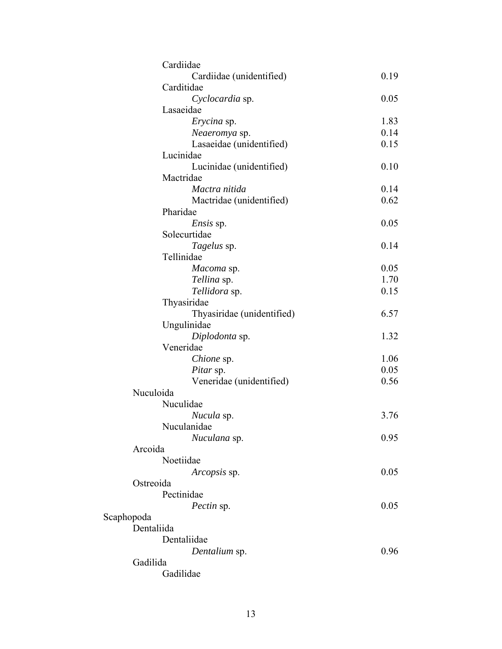| Cardiidae                  |      |
|----------------------------|------|
| Cardiidae (unidentified)   | 0.19 |
| Carditidae                 |      |
| Cyclocardia sp.            | 0.05 |
| Lasaeidae                  |      |
| Erycina sp.                | 1.83 |
| Neaeromya sp.              | 0.14 |
| Lasaeidae (unidentified)   | 0.15 |
| Lucinidae                  |      |
| Lucinidae (unidentified)   | 0.10 |
| Mactridae                  |      |
| Mactra nitida              | 0.14 |
| Mactridae (unidentified)   | 0.62 |
| Pharidae                   |      |
| <i>Ensis</i> sp.           | 0.05 |
| Solecurtidae               |      |
| Tagelus sp.                | 0.14 |
| Tellinidae                 |      |
| Macoma sp.                 | 0.05 |
| Tellina sp.                | 1.70 |
| Tellidora sp.              | 0.15 |
| Thyasiridae                |      |
| Thyasiridae (unidentified) | 6.57 |
| Ungulinidae                |      |
| Diplodonta sp.             | 1.32 |
| Veneridae                  |      |
| <i>Chione</i> sp.          | 1.06 |
| Pitar sp.                  | 0.05 |
| Veneridae (unidentified)   | 0.56 |
| Nuculoida                  |      |
| Nuculidae                  |      |
| Nucula sp.                 | 3.76 |
| Nuculanidae                |      |
| Nuculana sp.               | 0.95 |
| Arcoida                    |      |
| Noetiidae                  |      |
| Arcopsis sp.               | 0.05 |
| Ostreoida                  |      |
| Pectinidae                 |      |
| Pectin sp.                 | 0.05 |
| Scaphopoda                 |      |
| Dentaliida                 |      |
| Dentaliidae                |      |
| Dentalium sp.              | 0.96 |
| Gadilida                   |      |
| Gadilidae                  |      |
|                            |      |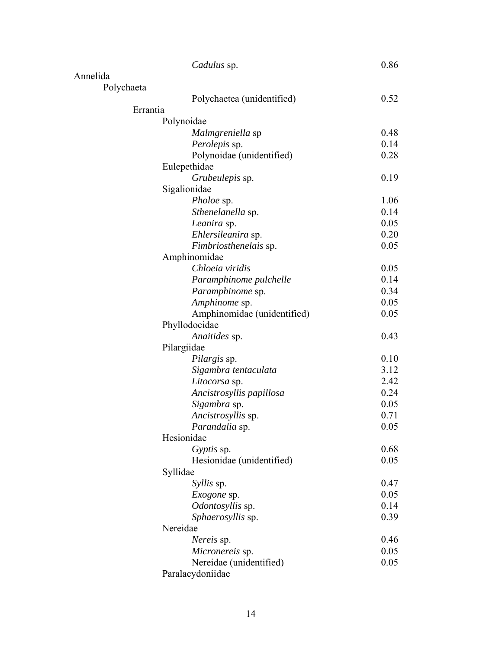|            | Cadulus sp.                 | 0.86 |
|------------|-----------------------------|------|
| Annelida   |                             |      |
| Polychaeta |                             |      |
|            | Polychaetea (unidentified)  | 0.52 |
| Errantia   |                             |      |
|            | Polynoidae                  |      |
|            | Malmgreniella sp            | 0.48 |
|            | Perolepis sp.               | 0.14 |
|            | Polynoidae (unidentified)   | 0.28 |
|            | Eulepethidae                |      |
|            | Grubeulepis sp.             | 0.19 |
|            | Sigalionidae                |      |
|            | <i>Pholoe</i> sp.           | 1.06 |
|            | Sthenelanella sp.           | 0.14 |
|            | Leanira sp.                 | 0.05 |
|            | Ehlersileanira sp.          | 0.20 |
|            | Fimbriosthenelais sp.       | 0.05 |
|            | Amphinomidae                |      |
|            | Chloeia viridis             | 0.05 |
|            | Paramphinome pulchelle      | 0.14 |
|            | Paramphinome sp.            | 0.34 |
|            | Amphinome sp.               | 0.05 |
|            | Amphinomidae (unidentified) | 0.05 |
|            | Phyllodocidae               |      |
|            | Anaitides sp.               | 0.43 |
|            | Pilargiidae                 |      |
|            | Pilargis sp.                | 0.10 |
|            | Sigambra tentaculata        | 3.12 |
|            | Litocorsa sp.               | 2.42 |
|            | Ancistrosyllis papillosa    | 0.24 |
|            | Sigambra sp.                | 0.05 |
|            | Ancistrosyllis sp.          | 0.71 |
|            | Parandalia sp.              | 0.05 |
|            | Hesionidae                  |      |
|            | Gyptis sp.                  | 0.68 |
|            | Hesionidae (unidentified)   | 0.05 |
|            | Syllidae                    |      |
|            | <i>Syllis</i> sp.           | 0.47 |
|            | <i>Exogone</i> sp.          | 0.05 |
|            | Odontosyllis sp.            | 0.14 |
|            | Sphaerosyllis sp.           | 0.39 |
|            | Nereidae                    |      |
|            | Nereis sp.                  | 0.46 |
|            | Micronereis sp.             | 0.05 |
|            | Nereidae (unidentified)     | 0.05 |
|            | Paralacydoniidae            |      |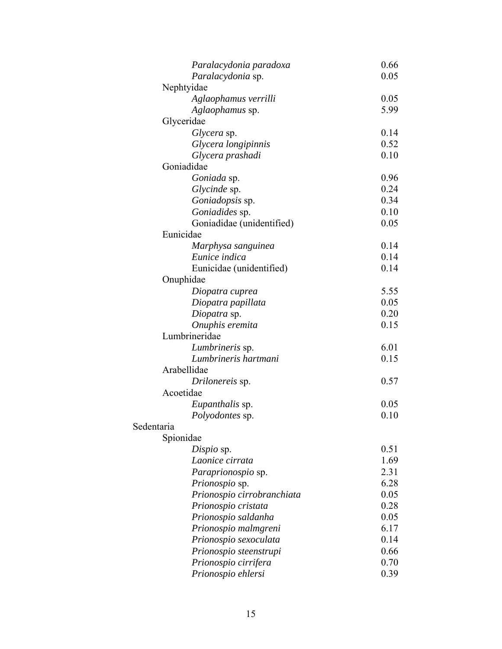|            | Paralacydonia paradoxa     | 0.66 |
|------------|----------------------------|------|
|            | Paralacydonia sp.          | 0.05 |
|            | Nephtyidae                 |      |
|            | Aglaophamus verrilli       | 0.05 |
|            | Aglaophamus sp.            | 5.99 |
|            | Glyceridae                 |      |
|            | Glycera sp.                | 0.14 |
|            | Glycera longipinnis        | 0.52 |
|            | Glycera prashadi           | 0.10 |
|            | Goniadidae                 |      |
|            | Goniada sp.                | 0.96 |
|            | Glycinde sp.               | 0.24 |
|            | Goniadopsis sp.            | 0.34 |
|            | Goniadides sp.             | 0.10 |
|            | Goniadidae (unidentified)  | 0.05 |
|            | Eunicidae                  |      |
|            | Marphysa sanguinea         | 0.14 |
|            | Eunice indica              | 0.14 |
|            | Eunicidae (unidentified)   | 0.14 |
|            | Onuphidae                  |      |
|            | Diopatra cuprea            | 5.55 |
|            | Diopatra papillata         | 0.05 |
|            | Diopatra sp.               | 0.20 |
|            | Onuphis eremita            | 0.15 |
|            | Lumbrineridae              |      |
|            | Lumbrineris sp.            | 6.01 |
|            | Lumbrineris hartmani       | 0.15 |
|            | Arabellidae                |      |
|            | Drilonereis sp.            | 0.57 |
|            | Acoetidae                  |      |
|            | <i>Eupanthalis</i> sp.     | 0.05 |
|            | Polyodontes sp.            | 0.10 |
| Sedentaria |                            |      |
|            | Spionidae                  |      |
|            | Dispio sp.                 | 0.51 |
|            | Laonice cirrata            | 1.69 |
|            | Paraprionospio sp.         | 2.31 |
|            | Prionospio sp.             | 6.28 |
|            | Prionospio cirrobranchiata | 0.05 |
|            | Prionospio cristata        | 0.28 |
|            | Prionospio saldanha        | 0.05 |
|            | Prionospio malmgreni       | 6.17 |
|            | Prionospio sexoculata      | 0.14 |
|            | Prionospio steenstrupi     | 0.66 |
|            | Prionospio cirrifera       | 0.70 |
|            | Prionospio ehlersi         | 0.39 |
|            |                            |      |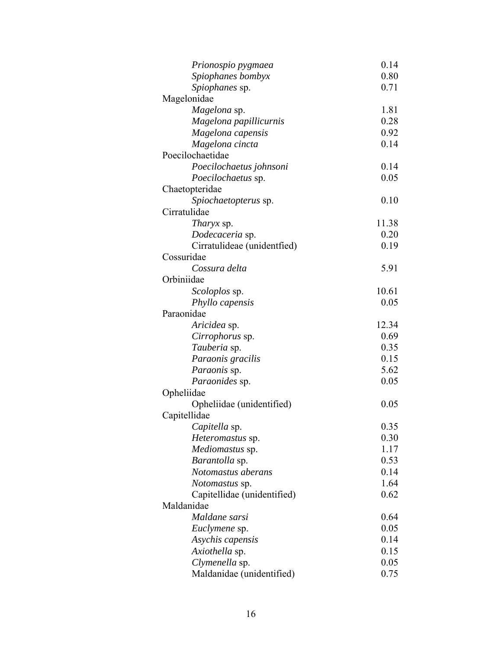| Prionospio pygmaea          | 0.14  |
|-----------------------------|-------|
| Spiophanes bombyx           | 0.80  |
| Spiophanes sp.              | 0.71  |
| Magelonidae                 |       |
| Magelona sp.                | 1.81  |
| Magelona papillicurnis      | 0.28  |
| Magelona capensis           | 0.92  |
| Magelona cincta             | 0.14  |
| Poecilochaetidae            |       |
| Poecilochaetus johnsoni     | 0.14  |
| Poecilochaetus sp.          | 0.05  |
| Chaetopteridae              |       |
| Spiochaetopterus sp.        | 0.10  |
| Cirratulidae                |       |
| Tharyx sp.                  | 11.38 |
| Dodecaceria sp.             | 0.20  |
| Cirratulideae (unidentfied) | 0.19  |
| Cossuridae                  |       |
| Cossura delta               | 5.91  |
| Orbiniidae                  |       |
| <i>Scoloplos</i> sp.        | 10.61 |
| <i>Phyllo capensis</i>      | 0.05  |
| Paraonidae                  |       |
| Aricidea sp.                | 12.34 |
| Cirrophorus sp.             | 0.69  |
| Tauberia sp.                | 0.35  |
| Paraonis gracilis           | 0.15  |
| Paraonis sp.                | 5.62  |
| Paraonides sp.              | 0.05  |
| Opheliidae                  |       |
| Opheliidae (unidentified)   | 0.05  |
| Capitellidae                |       |
| Capitella sp.               | 0.35  |
| Heteromastus sp.            | 0.30  |
| Mediomastus sp.             | 1.17  |
| Barantolla sp.              | 0.53  |
| Notomastus aberans          | 0.14  |
| <i>Notomastus</i> sp.       | 1.64  |
| Capitellidae (unidentified) | 0.62  |
| Maldanidae                  |       |
| Maldane sarsi               | 0.64  |
| Euclymene sp.               | 0.05  |
| Asychis capensis            | 0.14  |
| Axiothella sp.              | 0.15  |
| Clymenella sp.              | 0.05  |
| Maldanidae (unidentified)   | 0.75  |
|                             |       |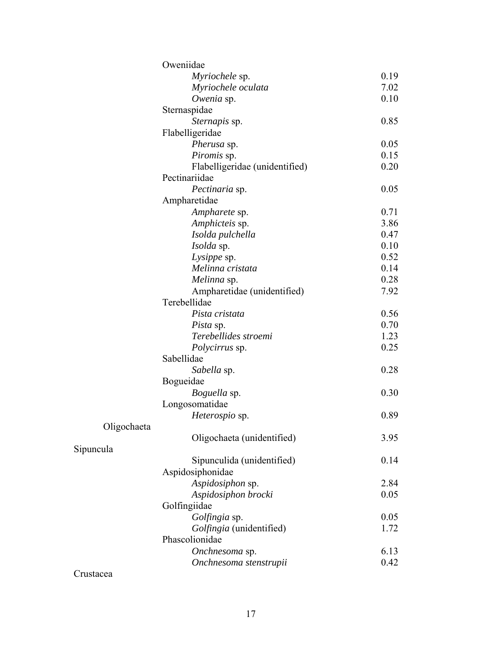|             | Oweniidae                      |      |
|-------------|--------------------------------|------|
|             | Myriochele sp.                 | 0.19 |
|             | Myriochele oculata             | 7.02 |
|             | Owenia sp.                     | 0.10 |
|             | Sternaspidae                   |      |
|             | Sternapis sp.                  | 0.85 |
|             | Flabelligeridae                |      |
|             | Pherusa sp.                    | 0.05 |
|             | Piromis sp.                    | 0.15 |
|             | Flabelligeridae (unidentified) | 0.20 |
|             | Pectinariidae                  |      |
|             | Pectinaria sp.                 | 0.05 |
|             | Ampharetidae                   |      |
|             | Ampharete sp.                  | 0.71 |
|             | Amphicteis sp.                 | 3.86 |
|             | Isolda pulchella               | 0.47 |
|             | Isolda sp.                     | 0.10 |
|             | Lysippe sp.                    | 0.52 |
|             | Melinna cristata               | 0.14 |
|             | Melinna sp.                    | 0.28 |
|             | Ampharetidae (unidentified)    | 7.92 |
|             | Terebellidae                   |      |
|             | Pista cristata                 | 0.56 |
|             | <i>Pista</i> sp.               | 0.70 |
|             | Terebellides stroemi           | 1.23 |
|             | <i>Polycirrus</i> sp.          | 0.25 |
|             | Sabellidae                     |      |
|             | Sabella sp.                    | 0.28 |
|             | Bogueidae                      |      |
|             | Boguella sp.                   | 0.30 |
|             | Longosomatidae                 |      |
|             | Heterospio sp.                 | 0.89 |
| Oligochaeta |                                |      |
|             | Oligochaeta (unidentified)     | 3.95 |
| Sipuncula   |                                |      |
|             | Sipunculida (unidentified)     | 0.14 |
|             | Aspidosiphonidae               |      |
|             | Aspidosiphon sp.               | 2.84 |
|             | Aspidosiphon brocki            | 0.05 |
|             | Golfingiidae                   |      |
|             | Golfingia sp.                  | 0.05 |
|             | Golfingia (unidentified)       | 1.72 |
|             | Phascolionidae                 |      |
|             | Onchnesoma sp.                 | 6.13 |
|             | Onchnesoma stenstrupii         | 0.42 |
|             |                                |      |

Crustacea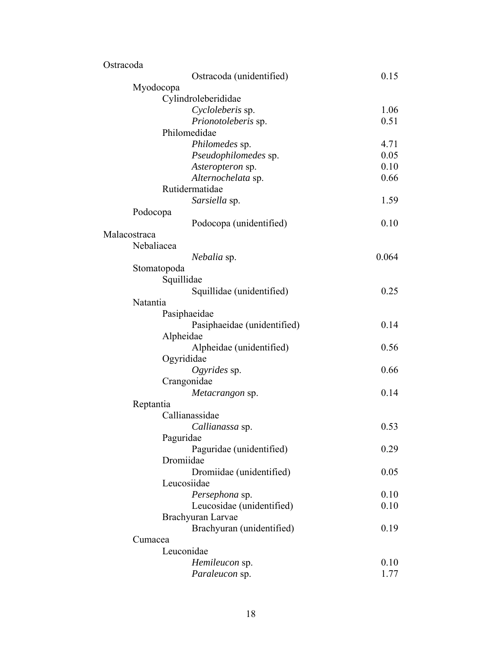| Ostracoda                   |       |
|-----------------------------|-------|
| Ostracoda (unidentified)    | 0.15  |
| Myodocopa                   |       |
| Cylindroleberididae         |       |
| Cycloleberis sp.            | 1.06  |
| Prionotoleberis sp.         | 0.51  |
| Philomedidae                |       |
| Philomedes sp.              | 4.71  |
| Pseudophilomedes sp.        | 0.05  |
| Asteropteron sp.            | 0.10  |
| Alternochelata sp.          | 0.66  |
| Rutidermatidae              |       |
| Sarsiella sp.               | 1.59  |
| Podocopa                    |       |
| Podocopa (unidentified)     | 0.10  |
| Malacostraca                |       |
| Nebaliacea                  |       |
| <i>Nebalia</i> sp.          | 0.064 |
| Stomatopoda                 |       |
| Squillidae                  |       |
| Squillidae (unidentified)   | 0.25  |
| Natantia                    |       |
| Pasiphaeidae                |       |
| Pasiphaeidae (unidentified) | 0.14  |
| Alpheidae                   |       |
| Alpheidae (unidentified)    | 0.56  |
| Ogyrididae                  |       |
| Ogyrides $sp.$              | 0.66  |
| Crangonidae                 |       |
| <i>Metacrangon</i> sp.      | 0.14  |
| Reptantia                   |       |
| Callianassidae              |       |
| Callianassa sp.             | 0.53  |
| Paguridae                   |       |
| Paguridae (unidentified)    | 0.29  |
| Dromiidae                   |       |
| Dromiidae (unidentified)    | 0.05  |
| Leucosiidae                 |       |
| Persephona sp.              | 0.10  |
| Leucosidae (unidentified)   | 0.10  |
|                             |       |
| Brachyuran Larvae           |       |
| Brachyuran (unidentified)   | 0.19  |
| Cumacea<br>Leuconidae       |       |
|                             |       |
| Hemileucon sp.              | 0.10  |
| Paraleucon sp.              | 1.77  |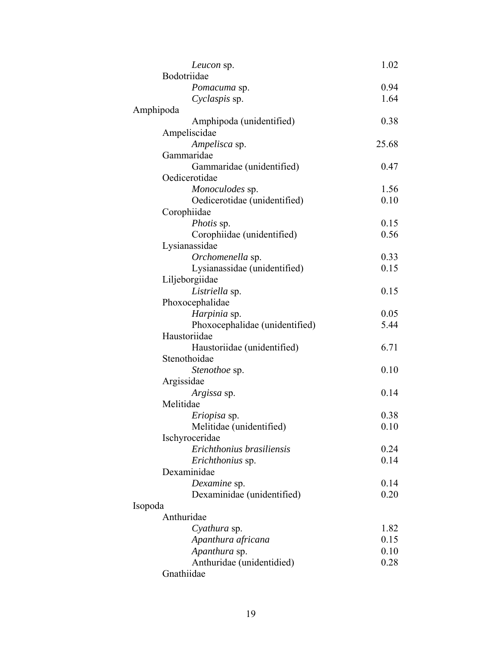| Leucon sp.                     | 1.02  |
|--------------------------------|-------|
| Bodotriidae                    |       |
| Pomacuma sp.                   | 0.94  |
| Cyclaspis sp.                  | 1.64  |
| Amphipoda                      |       |
| Amphipoda (unidentified)       | 0.38  |
| Ampeliscidae                   |       |
| Ampelisca sp.                  | 25.68 |
| Gammaridae                     |       |
| Gammaridae (unidentified)      | 0.47  |
| Oedicerotidae                  |       |
| Monoculodes sp.                | 1.56  |
| Oedicerotidae (unidentified)   | 0.10  |
| Corophiidae                    |       |
| <i>Photis</i> sp.              | 0.15  |
| Corophiidae (unidentified)     | 0.56  |
| Lysianassidae                  |       |
| Orchomenella sp.               | 0.33  |
| Lysianassidae (unidentified)   | 0.15  |
| Liljeborgiidae                 |       |
| Listriella sp.                 | 0.15  |
| Phoxocephalidae                |       |
| Harpinia sp.                   | 0.05  |
| Phoxocephalidae (unidentified) | 5.44  |
| Haustoriidae                   |       |
| Haustoriidae (unidentified)    | 6.71  |
| Stenothoidae                   |       |
| <i>Stenothoe</i> sp.           | 0.10  |
| Argissidae                     |       |
| Argissa sp.                    | 0.14  |
| Melitidae                      |       |
| <i>Eriopisa</i> sp.            | 0.38  |
| Melitidae (unidentified)       | 0.10  |
| Ischyroceridae                 |       |
| Erichthonius brasiliensis      | 0.24  |
| Erichthonius sp.               | 0.14  |
| Dexaminidae                    |       |
| Dexamine sp.                   | 0.14  |
| Dexaminidae (unidentified)     | 0.20  |
| Isopoda                        |       |
| Anthuridae                     |       |
| Cyathura sp.                   | 1.82  |
| Apanthura africana             | 0.15  |
| Apanthura sp.                  | 0.10  |
| Anthuridae (unidentidied)      | 0.28  |
| Gnathiidae                     |       |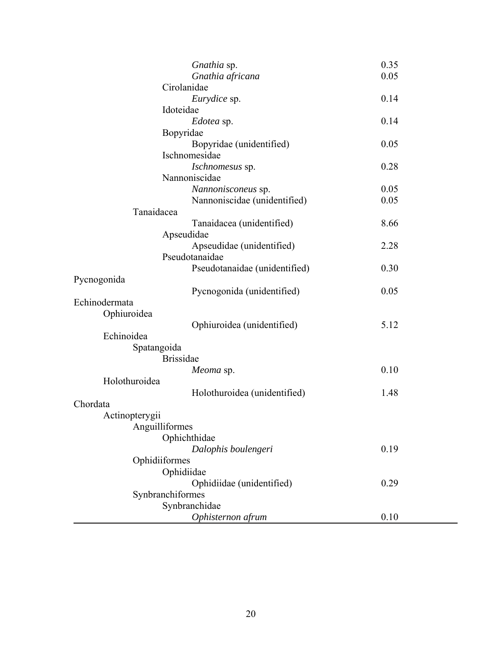| Gnathia sp.                   | 0.35 |
|-------------------------------|------|
| Gnathia africana              | 0.05 |
| Cirolanidae                   |      |
| Eurydice sp.                  | 0.14 |
| Idoteidae                     |      |
| Edotea sp.                    | 0.14 |
| Bopyridae                     |      |
| Bopyridae (unidentified)      | 0.05 |
| Ischnomesidae                 |      |
| Ischnomesus sp.               | 0.28 |
| Nannoniscidae                 |      |
| Nannonisconeus sp.            | 0.05 |
| Nannoniscidae (unidentified)  | 0.05 |
| Tanaidacea                    |      |
| Tanaidacea (unidentified)     | 8.66 |
| Apseudidae                    |      |
| Apseudidae (unidentified)     | 2.28 |
| Pseudotanaidae                |      |
| Pseudotanaidae (unidentified) | 0.30 |
| Pycnogonida                   |      |
| Pycnogonida (unidentified)    | 0.05 |
| Echinodermata                 |      |
| Ophiuroidea                   |      |
| Ophiuroidea (unidentified)    | 5.12 |
| Echinoidea                    |      |
| Spatangoida                   |      |
| <b>Brissidae</b>              |      |
| Meoma sp.                     | 0.10 |
| Holothuroidea                 |      |
| Holothuroidea (unidentified)  | 1.48 |
| Chordata                      |      |
| Actinopterygii                |      |
| Anguilliformes                |      |
| Ophichthidae                  |      |
| Dalophis boulengeri           | 0.19 |
| Ophidiiformes                 |      |
| Ophidiidae                    |      |
| Ophidiidae (unidentified)     | 0.29 |
| Synbranchiformes              |      |
| Synbranchidae                 |      |
| Ophisternon afrum             | 0.10 |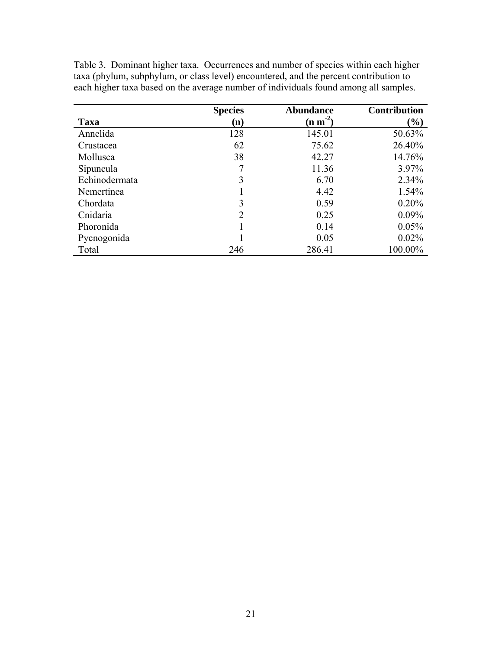|               | <b>Species</b> | <b>Abundance</b>               | <b>Contribution</b> |
|---------------|----------------|--------------------------------|---------------------|
| Taxa          | $\bf(n)$       | $(\mathbf{n} \mathbf{m}^{-2})$ | $(\%)$              |
| Annelida      | 128            | 145.01                         | 50.63%              |
| Crustacea     | 62             | 75.62                          | 26.40%              |
| Mollusca      | 38             | 42.27                          | 14.76%              |
| Sipuncula     |                | 11.36                          | 3.97%               |
| Echinodermata | 3              | 6.70                           | 2.34%               |
| Nemertinea    |                | 4.42                           | 1.54%               |
| Chordata      | 3              | 0.59                           | 0.20%               |
| Cnidaria      | $\overline{2}$ | 0.25                           | $0.09\%$            |
| Phoronida     |                | 0.14                           | 0.05%               |
| Pycnogonida   |                | 0.05                           | 0.02%               |
| Total         | 246            | 286.41                         | 100.00%             |

Table 3. Dominant higher taxa. Occurrences and number of species within each higher taxa (phylum, subphylum, or class level) encountered, and the percent contribution to each higher taxa based on the average number of individuals found among all samples.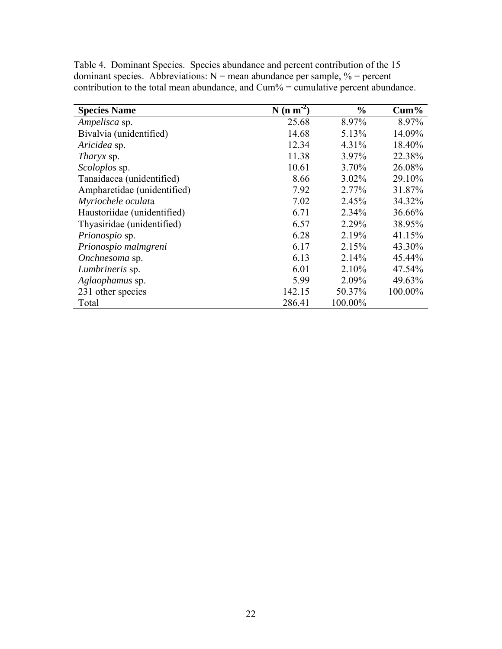| <b>Species Name</b>         | $N (n m-2)$ | $\frac{0}{0}$ | $Cum\%$ |
|-----------------------------|-------------|---------------|---------|
| Ampelisca sp.               | 25.68       | 8.97%         | 8.97%   |
| Bivalvia (unidentified)     | 14.68       | 5.13%         | 14.09%  |
| Aricidea sp.                | 12.34       | 4.31%         | 18.40%  |
| <i>Tharyx</i> sp.           | 11.38       | 3.97%         | 22.38%  |
| <i>Scoloplos</i> sp.        | 10.61       | 3.70%         | 26.08%  |
| Tanaidacea (unidentified)   | 8.66        | 3.02%         | 29.10%  |
| Ampharetidae (unidentified) | 7.92        | 2.77%         | 31.87%  |
| Myriochele oculata          | 7.02        | 2.45%         | 34.32%  |
| Haustoriidae (unidentified) | 6.71        | 2.34%         | 36.66%  |
| Thyasiridae (unidentified)  | 6.57        | 2.29%         | 38.95%  |
| Prionospio sp.              | 6.28        | 2.19%         | 41.15%  |
| Prionospio malmgreni        | 6.17        | 2.15%         | 43.30%  |
| Onchnesoma sp.              | 6.13        | 2.14%         | 45.44%  |
| Lumbrineris sp.             | 6.01        | 2.10%         | 47.54%  |
| Aglaophamus sp.             | 5.99        | 2.09%         | 49.63%  |
| 231 other species           | 142.15      | 50.37%        | 100.00% |
| Total                       | 286.41      | 100.00%       |         |

Table 4. Dominant Species. Species abundance and percent contribution of the 15 dominant species. Abbreviations:  $N =$  mean abundance per sample,  $\% =$  percent contribution to the total mean abundance, and Cum% = cumulative percent abundance.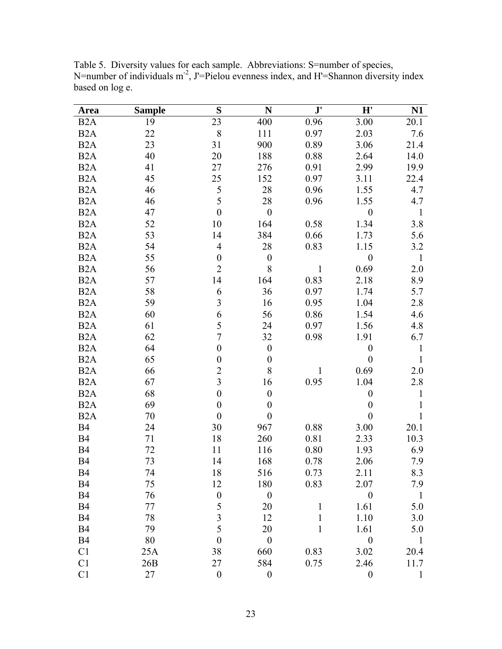| <b>Area</b>      | <b>Sample</b> | S                | N                | $\mathbf{J}^\prime$ | H'               | N1           |
|------------------|---------------|------------------|------------------|---------------------|------------------|--------------|
| B <sub>2</sub> A | 19            | 23               | 400              | 0.96                | 3.00             | 20.1         |
| B <sub>2</sub> A | 22            | 8                | 111              | 0.97                | 2.03             | 7.6          |
| B <sub>2</sub> A | 23            | 31               | 900              | 0.89                | 3.06             | 21.4         |
| B <sub>2</sub> A | 40            | 20               | 188              | 0.88                | 2.64             | 14.0         |
| B <sub>2</sub> A | 41            | 27               | 276              | 0.91                | 2.99             | 19.9         |
| B <sub>2</sub> A | 45            | 25               | 152              | 0.97                | 3.11             | 22.4         |
| B <sub>2</sub> A | 46            | 5                | 28               | 0.96                | 1.55             | 4.7          |
| B <sub>2</sub> A | 46            | 5                | 28               | 0.96                | 1.55             | 4.7          |
| B <sub>2</sub> A | 47            | $\boldsymbol{0}$ | $\boldsymbol{0}$ |                     | $\boldsymbol{0}$ | $\mathbf{1}$ |
| B <sub>2</sub> A | 52            | 10               | 164              | 0.58                | 1.34             | 3.8          |
| B <sub>2</sub> A | 53            | 14               | 384              | 0.66                | 1.73             | 5.6          |
| B <sub>2</sub> A | 54            | $\overline{4}$   | 28               | 0.83                | 1.15             | 3.2          |
| B <sub>2</sub> A | 55            | $\boldsymbol{0}$ | $\boldsymbol{0}$ |                     | $\boldsymbol{0}$ | $\mathbf{1}$ |
| B <sub>2</sub> A | 56            | $\overline{2}$   | 8                | 1                   | 0.69             | 2.0          |
| B <sub>2</sub> A | 57            | 14               | 164              | 0.83                | 2.18             | 8.9          |
| B <sub>2</sub> A | 58            | 6                | 36               | 0.97                | 1.74             | 5.7          |
| B <sub>2</sub> A | 59            | $\overline{3}$   | 16               | 0.95                | 1.04             | 2.8          |
| B <sub>2</sub> A | 60            | 6                | 56               | 0.86                | 1.54             | 4.6          |
| B <sub>2</sub> A | 61            | 5                | 24               | 0.97                | 1.56             | 4.8          |
| B <sub>2</sub> A | 62            | $\overline{7}$   | 32               | 0.98                | 1.91             | 6.7          |
| B <sub>2</sub> A | 64            | $\boldsymbol{0}$ | $\boldsymbol{0}$ |                     | $\boldsymbol{0}$ | $\mathbf{1}$ |
| B <sub>2</sub> A | 65            | $\boldsymbol{0}$ | $\boldsymbol{0}$ |                     | $\boldsymbol{0}$ | $\mathbf{1}$ |
| B <sub>2</sub> A | 66            | $\overline{c}$   | $8\,$            | 1                   | 0.69             | 2.0          |
| B <sub>2</sub> A | 67            | $\overline{3}$   | 16               | 0.95                | 1.04             | 2.8          |
| B <sub>2</sub> A | 68            | $\boldsymbol{0}$ | $\boldsymbol{0}$ |                     | $\boldsymbol{0}$ | 1            |
| B <sub>2</sub> A | 69            | $\boldsymbol{0}$ | $\boldsymbol{0}$ |                     | $\boldsymbol{0}$ | 1            |
| B <sub>2</sub> A | 70            | $\boldsymbol{0}$ | $\boldsymbol{0}$ |                     | $\boldsymbol{0}$ | 1            |
| <b>B4</b>        | 24            | 30               | 967              | 0.88                | 3.00             | 20.1         |
| <b>B4</b>        | 71            | 18               | 260              | 0.81                | 2.33             | 10.3         |
| <b>B4</b>        | 72            | 11               | 116              | 0.80                | 1.93             | 6.9          |
| <b>B4</b>        | 73            | 14               | 168              | 0.78                | 2.06             | 7.9          |
| <b>B4</b>        | 74            | 18               | 516              | 0.73                | 2.11             | 8.3          |
| <b>B4</b>        | 75            | 12               | 180              | 0.83                | 2.07             | 7.9          |
| <b>B4</b>        | 76            | $\boldsymbol{0}$ | $\boldsymbol{0}$ |                     | $\boldsymbol{0}$ | $\mathbf{1}$ |
| <b>B4</b>        | 77            | 5                | 20               | 1                   | 1.61             | 5.0          |
| <b>B4</b>        | 78            | $\mathfrak{Z}$   | 12               | $\mathbf{1}$        | 1.10             | 3.0          |
| <b>B4</b>        | 79            | 5                | 20               | 1                   | 1.61             | 5.0          |
| <b>B4</b>        | 80            | $\overline{0}$   | $\overline{0}$   |                     | $\boldsymbol{0}$ | $\mathbf{1}$ |
| C1               | 25A           | 38               | 660              | 0.83                | 3.02             | 20.4         |
| C <sub>1</sub>   | 26B           | 27               | 584              | 0.75                | 2.46             | 11.7         |
| C1               | 27            | $\boldsymbol{0}$ | $\boldsymbol{0}$ |                     | $\boldsymbol{0}$ |              |

Table 5. Diversity values for each sample. Abbreviations: S=number of species, N=number of individuals  $m<sup>2</sup>$ , J'=Pielou evenness index, and H'=Shannon diversity index based on log e.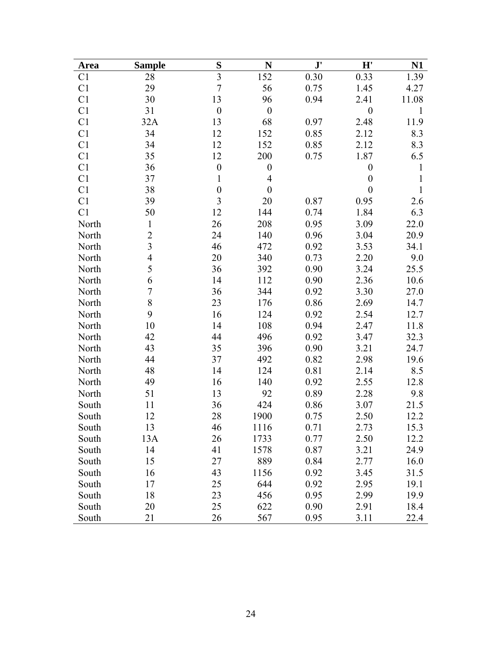| <b>Area</b>    | <b>Sample</b>           | S                | N                | $\mathbf{J}^{\prime}$ | H'               | N1           |
|----------------|-------------------------|------------------|------------------|-----------------------|------------------|--------------|
| C <sub>1</sub> | 28                      | $\overline{3}$   | 152              | 0.30                  | 0.33             | 1.39         |
| C <sub>1</sub> | 29                      | $\overline{7}$   | 56               | 0.75                  | 1.45             | 4.27         |
| C <sub>1</sub> | 30                      | 13               | 96               | 0.94                  | 2.41             | 11.08        |
| C1             | 31                      | $\boldsymbol{0}$ | $\boldsymbol{0}$ |                       | $\boldsymbol{0}$ | 1            |
| C <sub>1</sub> | 32A                     | 13               | 68               | 0.97                  | 2.48             | 11.9         |
| C1             | 34                      | 12               | 152              | 0.85                  | 2.12             | 8.3          |
| C1             | 34                      | 12               | 152              | 0.85                  | 2.12             | 8.3          |
| C <sub>1</sub> | 35                      | 12               | 200              | 0.75                  | 1.87             | 6.5          |
| C <sub>1</sub> | 36                      | $\boldsymbol{0}$ | $\boldsymbol{0}$ |                       | $\boldsymbol{0}$ | 1            |
| C1             | 37                      | $\mathbf{1}$     | $\overline{4}$   |                       | $\boldsymbol{0}$ | 1            |
| C <sub>1</sub> | 38                      | $\boldsymbol{0}$ | $\boldsymbol{0}$ |                       | $\boldsymbol{0}$ | $\mathbf{1}$ |
| C <sub>1</sub> | 39                      | 3                | 20               | 0.87                  | 0.95             | 2.6          |
| C <sub>1</sub> | 50                      | 12               | 144              | 0.74                  | 1.84             | 6.3          |
| North          | $\mathbf{1}$            | 26               | 208              | 0.95                  | 3.09             | 22.0         |
| North          | $\overline{c}$          | 24               | 140              | 0.96                  | 3.04             | 20.9         |
| North          | $\overline{\mathbf{3}}$ | 46               | 472              | 0.92                  | 3.53             | 34.1         |
| North          | $\overline{4}$          | 20               | 340              | 0.73                  | 2.20             | 9.0          |
| North          | 5                       | 36               | 392              | 0.90                  | 3.24             | 25.5         |
| North          | 6                       | 14               | 112              | 0.90                  | 2.36             | 10.6         |
| North          | $\sqrt{ }$              | 36               | 344              | 0.92                  | 3.30             | 27.0         |
| North          | 8                       | 23               | 176              | 0.86                  | 2.69             | 14.7         |
| North          | 9                       | 16               | 124              | 0.92                  | 2.54             | 12.7         |
| North          | 10                      | 14               | 108              | 0.94                  | 2.47             | 11.8         |
| North          | 42                      | 44               | 496              | 0.92                  | 3.47             | 32.3         |
| North          | 43                      | 35               | 396              | 0.90                  | 3.21             | 24.7         |
| North          | 44                      | 37               | 492              | 0.82                  | 2.98             | 19.6         |
| North          | 48                      | 14               | 124              | 0.81                  | 2.14             | 8.5          |
| North          | 49                      | 16               | 140              | 0.92                  | 2.55             | 12.8         |
| North          | 51                      | 13               | 92               | 0.89                  | 2.28             | 9.8          |
| South          | 11                      | 36               | 424              | 0.86                  | 3.07             | 21.5         |
| South          | 12                      | 28               | 1900             | 0.75                  | 2.50             | 12.2         |
| South          | 13                      | 46               | 1116             | 0.71                  | 2.73             | 15.3         |
| South          | 13A                     | 26               | 1733             | 0.77                  | 2.50             | 12.2         |
| South          | 14                      | 41               | 1578             | 0.87                  | 3.21             | 24.9         |
| South          | 15                      | 27               | 889              | 0.84                  | 2.77             | 16.0         |
| South          | 16                      | 43               | 1156             | 0.92                  | 3.45             | 31.5         |
| South          | 17                      | 25               | 644              | 0.92                  | 2.95             | 19.1         |
| South          | 18                      | 23               | 456              | 0.95                  | 2.99             | 19.9         |
| South          | 20                      | 25               | 622              | 0.90                  | 2.91             | 18.4         |
| South          | 21                      | 26               | 567              | 0.95                  | 3.11             | 22.4         |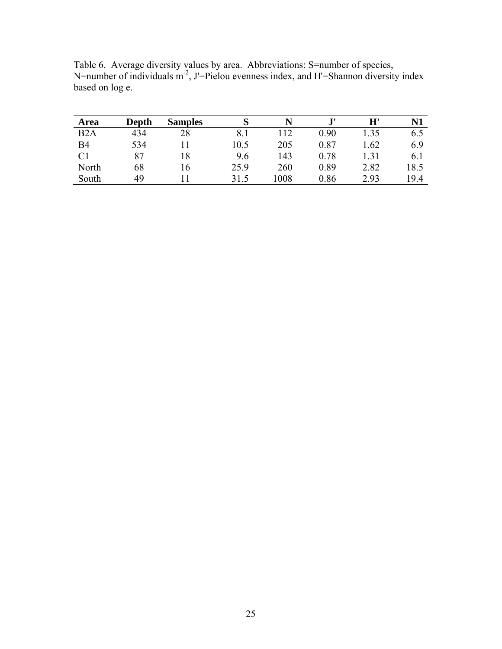| <b>Depth</b> | <b>Samples</b> | S        |      | $\mathbf{J}$ | $\mathbf{H}^{\mathsf{r}}$ | N1   |
|--------------|----------------|----------|------|--------------|---------------------------|------|
| 434          | 28             | $8_{.1}$ | 112  | 0.90         | 1.35                      | 6.5  |
| 534          |                | 10.5     | 205  | 0.87         | l.62                      | 6.9  |
| 87           | 18             | 9.6      | 143  | 0.78         | l.31                      | 6.1  |
| 68           | . 6            | 25.9     | 260  | 0.89         | 2.82                      | 18.5 |
| 49           |                | 31.5     | 1008 | 0.86         | 2.93                      | 19.4 |
|              |                |          |      |              |                           |      |

Table 6. Average diversity values by area. Abbreviations: S=number of species, N=number of individuals  $m<sup>2</sup>$ , J'=Pielou evenness index, and H'=Shannon diversity index based on log e.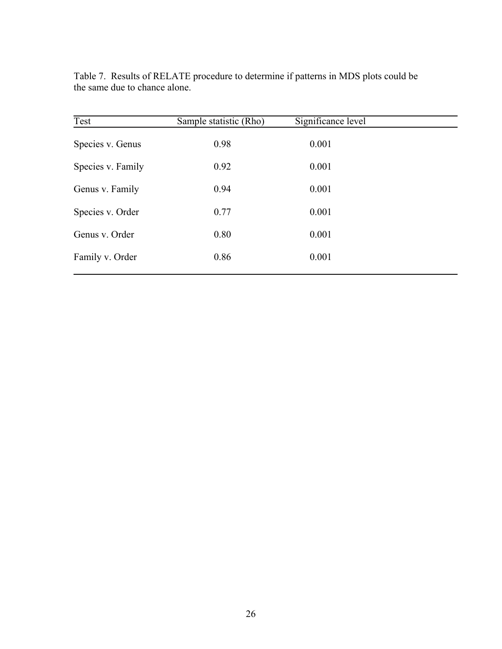| Test              | Sample statistic (Rho) | Significance level |  |
|-------------------|------------------------|--------------------|--|
| Species v. Genus  | 0.98                   | 0.001              |  |
| Species v. Family | 0.92                   | 0.001              |  |
| Genus v. Family   | 0.94                   | 0.001              |  |
| Species v. Order  | 0.77                   | 0.001              |  |
| Genus v. Order    | 0.80                   | 0.001              |  |
| Family v. Order   | 0.86                   | 0.001              |  |
|                   |                        |                    |  |

Table 7. Results of RELATE procedure to determine if patterns in MDS plots could be the same due to chance alone.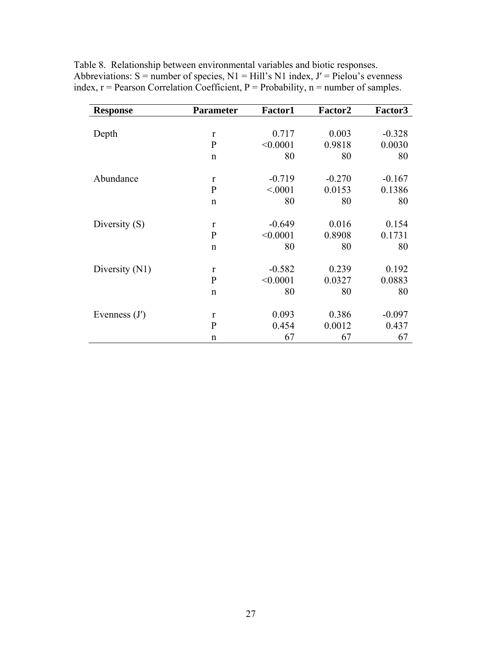| <b>Response</b> | <b>Parameter</b> | Factor1  | Factor2  | Factor3  |
|-----------------|------------------|----------|----------|----------|
|                 |                  |          |          |          |
| Depth           | $\mathbf{r}$     | 0.717    | 0.003    | $-0.328$ |
|                 | $\mathbf{P}$     | < 0.0001 | 0.9818   | 0.0030   |
|                 | $\mathsf{n}$     | 80       | 80       | 80       |
|                 |                  |          |          |          |
| Abundance       | $\mathbf{r}$     | $-0.719$ | $-0.270$ | $-0.167$ |
|                 | $\mathbf{P}$     | < 0001   | 0.0153   | 0.1386   |
|                 | $\mathsf{n}$     | 80       | 80       | 80       |
|                 |                  |          |          |          |
| Diversity (S)   | $\mathbf{r}$     | $-0.649$ | 0.016    | 0.154    |
|                 | $\mathbf{P}$     | < 0.0001 | 0.8908   | 0.1731   |
|                 | $\mathsf{n}$     | 80       | 80       | 80       |
|                 |                  |          |          |          |
| Diversity (N1)  | $\mathbf{r}$     | $-0.582$ | 0.239    | 0.192    |
|                 | $\mathbf{P}$     | < 0.0001 | 0.0327   | 0.0883   |
|                 | $\mathsf{n}$     | 80       | 80       | 80       |
|                 |                  |          |          |          |
| Evenness $(J')$ | $\mathbf{r}$     | 0.093    | 0.386    | $-0.097$ |
|                 | $\mathbf{P}$     | 0.454    | 0.0012   | 0.437    |
|                 | $\mathbf n$      | 67       | 67       | 67       |

Table 8. Relationship between environmental variables and biotic responses. Abbreviations:  $S =$  number of species,  $N1 = Hill's N1$  index,  $J' =$  Pielou's evenness index,  $r =$  Pearson Correlation Coefficient,  $P =$  Probability,  $n =$  number of samples.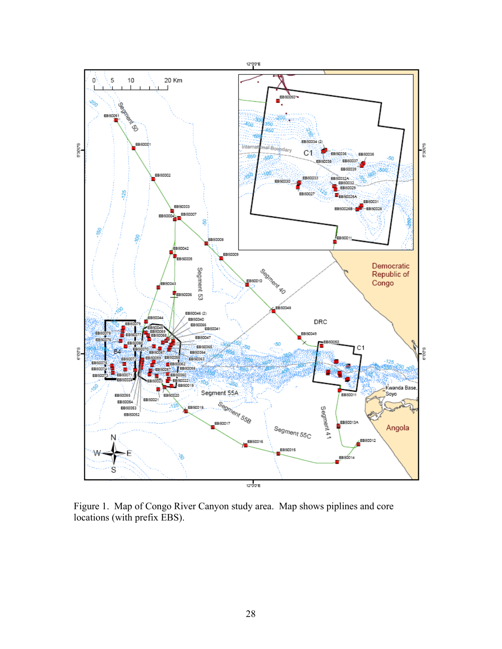

Figure 1. Map of Congo River Canyon study area. Map shows piplines and core locations (with prefix EBS).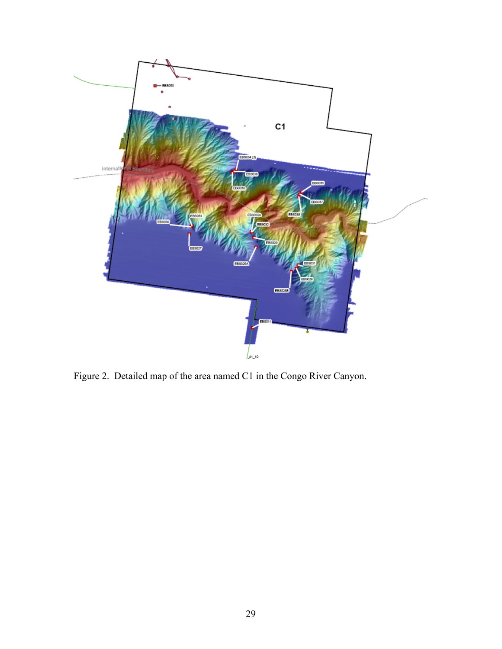

Figure 2. Detailed map of the area named C1 in the Congo River Canyon.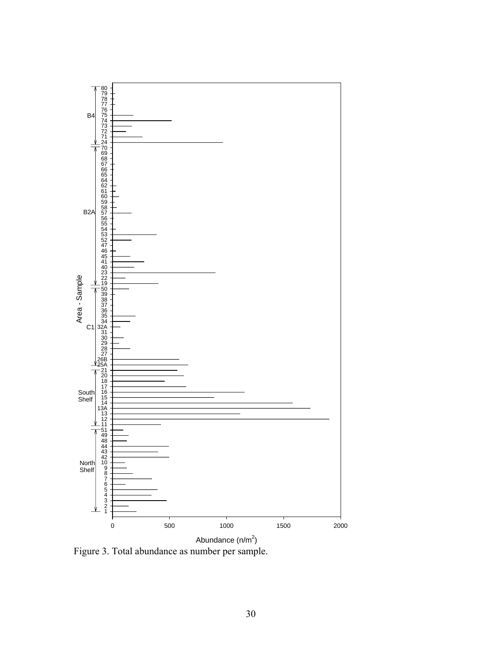

Figure 3. Total abundance as number per sample.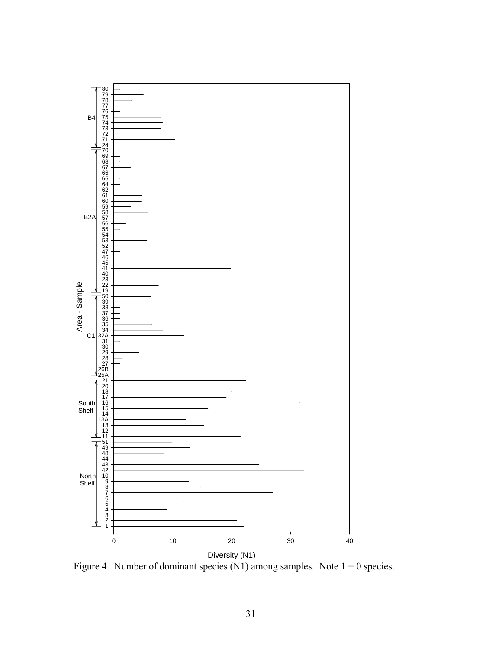

Figure 4. Number of dominant species (N1) among samples. Note  $1 = 0$  species.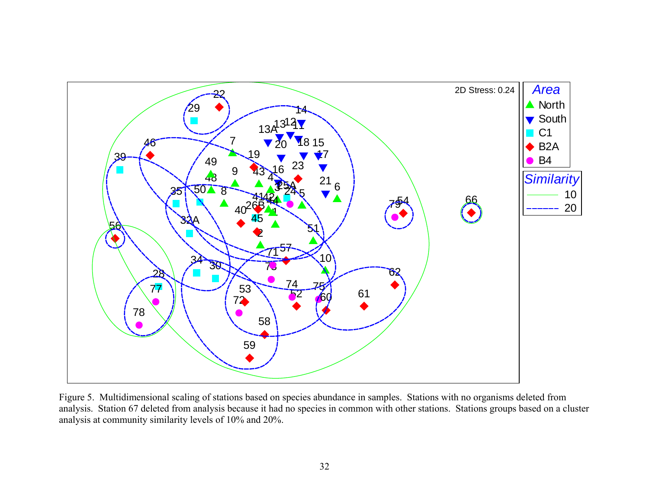

Figure 5. Multidimensional scaling of stations based on species abundance in samples. Stations with no organisms deleted from analysis. Station 67 deleted from analysis because it had no species in common with other stations. Stations groups based on a cluster analysis at community similarity levels of 10% and 20%.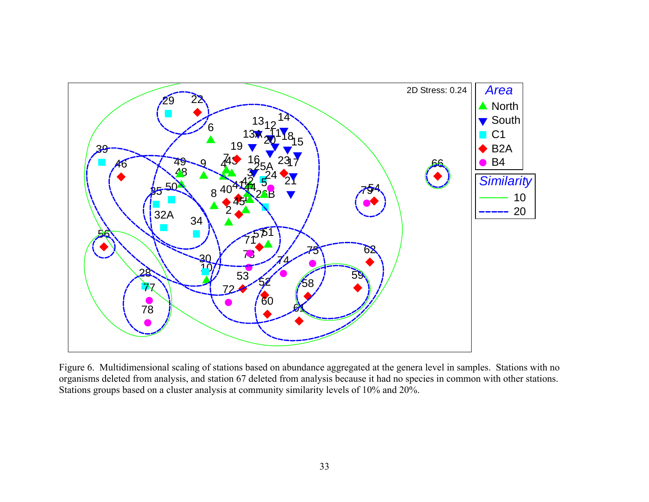

Figure 6. Multidimensional scaling of stations based on abundance aggregated at the genera level in samples. Stations with no organisms deleted from analysis, and station 67 deleted from analysis because it had no species in common with other stations. Stations groups based on a cluster analysis at community similarity levels of 10% and 20%.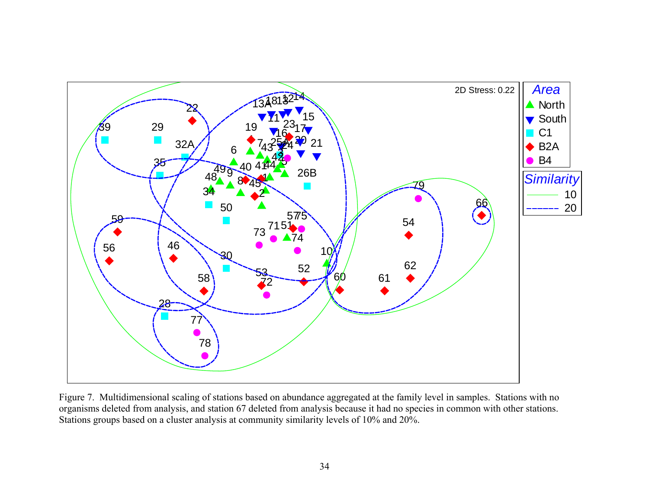

Figure 7. Multidimensional scaling of stations based on abundance aggregated at the family level in samples. Stations with no organisms deleted from analysis, and station 67 deleted from analysis because it had no species in common with other stations. Stations groups based on a cluster analysis at community similarity levels of 10% and 20%.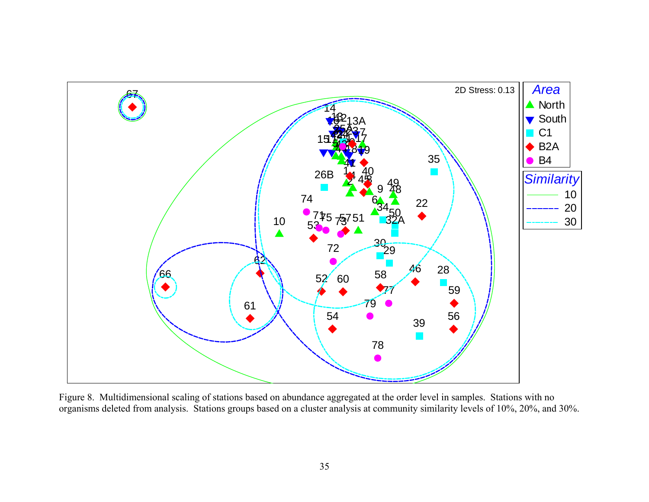

Figure 8. Multidimensional scaling of stations based on abundance aggregated at the order level in samples. Stations with no organisms deleted from analysis. Stations groups based on a cluster analysis at community similarity levels of 10%, 20%, and 30%.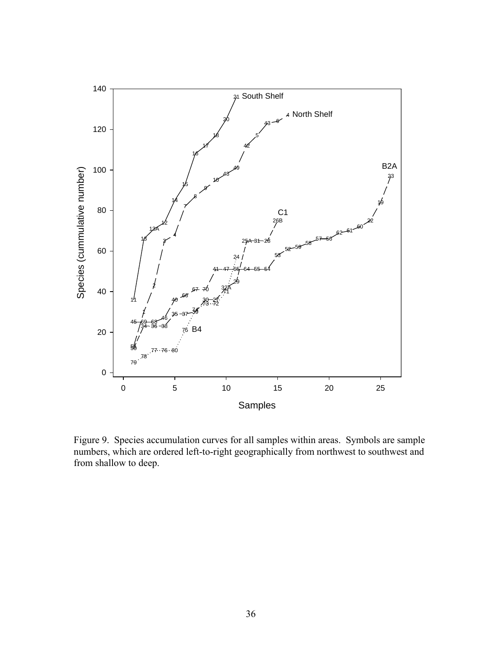

Figure 9. Species accumulation curves for all samples within areas. Symbols are sample numbers, which are ordered left-to-right geographically from northwest to southwest and from shallow to deep.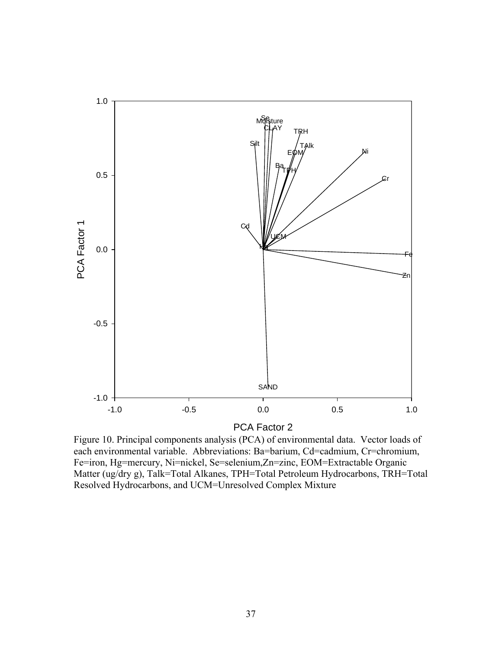

PCA Factor 2

Figure 10. Principal components analysis (PCA) of environmental data. Vector loads of each environmental variable. Abbreviations: Ba=barium, Cd=cadmium, Cr=chromium, Fe=iron, Hg=mercury, Ni=nickel, Se=selenium,Zn=zinc, EOM=Extractable Organic Matter (ug/dry g), Talk=Total Alkanes, TPH=Total Petroleum Hydrocarbons, TRH=Total Resolved Hydrocarbons, and UCM=Unresolved Complex Mixture